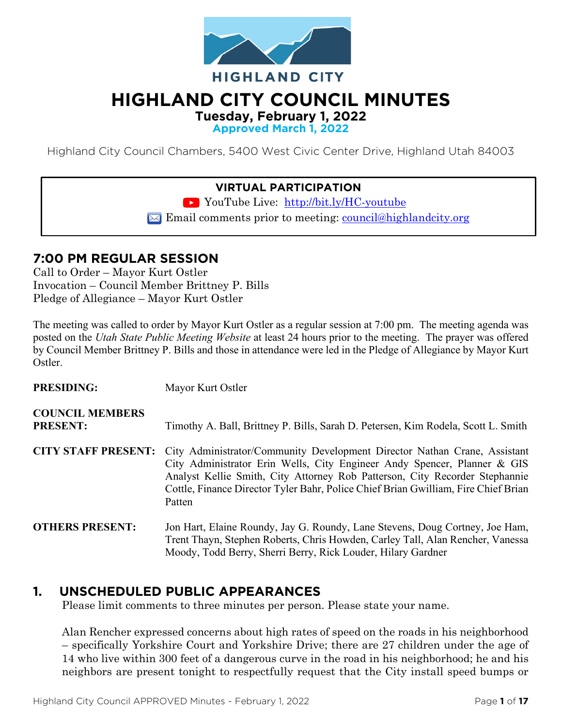

# **HIGHLAND CITY COUNCIL MINUTES**

**Tuesday, February 1, 2022**

**Approved March 1, 2022**

Highland City Council Chambers, 5400 West Civic Center Drive, Highland Utah 84003

#### **VIRTUAL PARTICIPATION**

YouTube Live: <http://bit.ly/HC-youtube>

 $\blacktriangleright$  Email comments prior to meeting: [council@highlandcity.org](mailto:council@highlandcity.org)

## **7:00 PM REGULAR SESSION**

Call to Order – Mayor Kurt Ostler Invocation – Council Member Brittney P. Bills Pledge of Allegiance – Mayor Kurt Ostler

The meeting was called to order by Mayor Kurt Ostler as a regular session at 7:00 pm. The meeting agenda was posted on the *Utah State Public Meeting Website* at least 24 hours prior to the meeting. The prayer was offered by Council Member Brittney P. Bills and those in attendance were led in the Pledge of Allegiance by Mayor Kurt Ostler.

| <b>PRESIDING:</b>                         | Mayor Kurt Ostler                                                                                                                                                                                                                                                                                                                    |
|-------------------------------------------|--------------------------------------------------------------------------------------------------------------------------------------------------------------------------------------------------------------------------------------------------------------------------------------------------------------------------------------|
| <b>COUNCIL MEMBERS</b><br><b>PRESENT:</b> | Timothy A. Ball, Brittney P. Bills, Sarah D. Petersen, Kim Rodela, Scott L. Smith                                                                                                                                                                                                                                                    |
| <b>CITY STAFF PRESENT:</b>                | City Administrator/Community Development Director Nathan Crane, Assistant<br>City Administrator Erin Wells, City Engineer Andy Spencer, Planner & GIS<br>Analyst Kellie Smith, City Attorney Rob Patterson, City Recorder Stephannie<br>Cottle, Finance Director Tyler Bahr, Police Chief Brian Gwilliam, Fire Chief Brian<br>Patten |
| <b>OTHERS PRESENT:</b>                    | Jon Hart, Elaine Roundy, Jay G. Roundy, Lane Stevens, Doug Cortney, Joe Ham,<br>Trent Thayn, Stephen Roberts, Chris Howden, Carley Tall, Alan Rencher, Vanessa<br>Moody, Todd Berry, Sherri Berry, Rick Louder, Hilary Gardner                                                                                                       |

## **1. UNSCHEDULED PUBLIC APPEARANCES**

Please limit comments to three minutes per person. Please state your name.

Alan Rencher expressed concerns about high rates of speed on the roads in his neighborhood – specifically Yorkshire Court and Yorkshire Drive; there are 27 children under the age of 14 who live within 300 feet of a dangerous curve in the road in his neighborhood; he and his neighbors are present tonight to respectfully request that the City install speed bumps or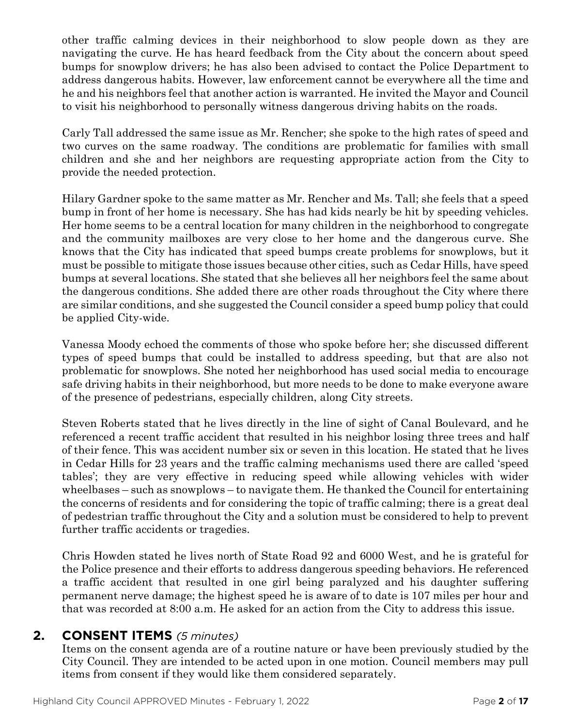other traffic calming devices in their neighborhood to slow people down as they are navigating the curve. He has heard feedback from the City about the concern about speed bumps for snowplow drivers; he has also been advised to contact the Police Department to address dangerous habits. However, law enforcement cannot be everywhere all the time and he and his neighbors feel that another action is warranted. He invited the Mayor and Council to visit his neighborhood to personally witness dangerous driving habits on the roads.

Carly Tall addressed the same issue as Mr. Rencher; she spoke to the high rates of speed and two curves on the same roadway. The conditions are problematic for families with small children and she and her neighbors are requesting appropriate action from the City to provide the needed protection.

Hilary Gardner spoke to the same matter as Mr. Rencher and Ms. Tall; she feels that a speed bump in front of her home is necessary. She has had kids nearly be hit by speeding vehicles. Her home seems to be a central location for many children in the neighborhood to congregate and the community mailboxes are very close to her home and the dangerous curve. She knows that the City has indicated that speed bumps create problems for snowplows, but it must be possible to mitigate those issues because other cities, such as Cedar Hills, have speed bumps at several locations. She stated that she believes all her neighbors feel the same about the dangerous conditions. She added there are other roads throughout the City where there are similar conditions, and she suggested the Council consider a speed bump policy that could be applied City-wide.

Vanessa Moody echoed the comments of those who spoke before her; she discussed different types of speed bumps that could be installed to address speeding, but that are also not problematic for snowplows. She noted her neighborhood has used social media to encourage safe driving habits in their neighborhood, but more needs to be done to make everyone aware of the presence of pedestrians, especially children, along City streets.

Steven Roberts stated that he lives directly in the line of sight of Canal Boulevard, and he referenced a recent traffic accident that resulted in his neighbor losing three trees and half of their fence. This was accident number six or seven in this location. He stated that he lives in Cedar Hills for 23 years and the traffic calming mechanisms used there are called 'speed tables'; they are very effective in reducing speed while allowing vehicles with wider wheelbases – such as snowplows – to navigate them. He thanked the Council for entertaining the concerns of residents and for considering the topic of traffic calming; there is a great deal of pedestrian traffic throughout the City and a solution must be considered to help to prevent further traffic accidents or tragedies.

Chris Howden stated he lives north of State Road 92 and 6000 West, and he is grateful for the Police presence and their efforts to address dangerous speeding behaviors. He referenced a traffic accident that resulted in one girl being paralyzed and his daughter suffering permanent nerve damage; the highest speed he is aware of to date is 107 miles per hour and that was recorded at 8:00 a.m. He asked for an action from the City to address this issue.

#### **2. CONSENT ITEMS** *(5 minutes)*

Items on the consent agenda are of a routine nature or have been previously studied by the City Council. They are intended to be acted upon in one motion. Council members may pull items from consent if they would like them considered separately.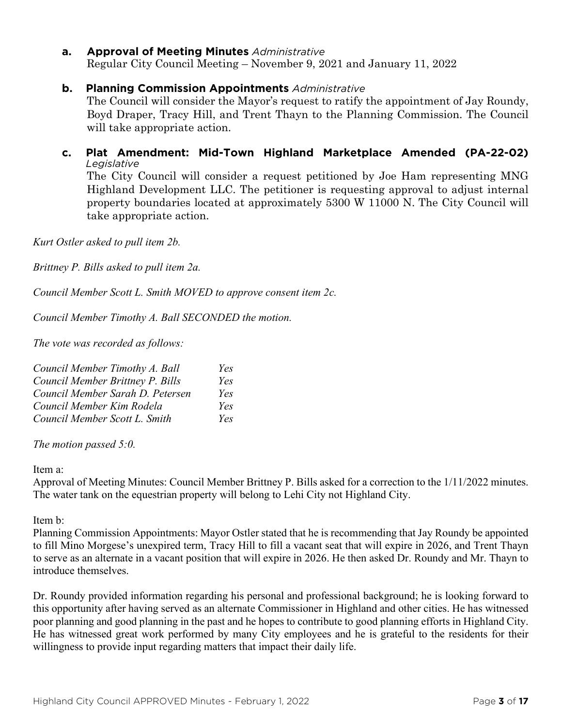#### **a. Approval of Meeting Minutes** *Administrative*

Regular City Council Meeting – November 9, 2021 and January 11, 2022

#### **b. Planning Commission Appointments** *Administrative*

The Council will consider the Mayor's request to ratify the appointment of Jay Roundy, Boyd Draper, Tracy Hill, and Trent Thayn to the Planning Commission. The Council will take appropriate action.

#### **c. Plat Amendment: Mid-Town Highland Marketplace Amended (PA-22-02)**  *Legislative* The City Council will consider a request petitioned by Joe Ham representing MNG

Highland Development LLC. The petitioner is requesting approval to adjust internal property boundaries located at approximately 5300 W 11000 N. The City Council will take appropriate action.

*Kurt Ostler asked to pull item 2b.*

*Brittney P. Bills asked to pull item 2a.*

*Council Member Scott L. Smith MOVED to approve consent item 2c.*

*Council Member Timothy A. Ball SECONDED the motion.*

*The vote was recorded as follows:*

| Council Member Timothy A. Ball   | Yes |
|----------------------------------|-----|
| Council Member Brittney P. Bills | Yes |
| Council Member Sarah D. Petersen | Yes |
| Council Member Kim Rodela        | Yes |
| Council Member Scott L. Smith    | Yes |

*The motion passed 5:0.* 

#### Item a:

Approval of Meeting Minutes: Council Member Brittney P. Bills asked for a correction to the 1/11/2022 minutes. The water tank on the equestrian property will belong to Lehi City not Highland City.

Item b:

Planning Commission Appointments: Mayor Ostler stated that he is recommending that Jay Roundy be appointed to fill Mino Morgese's unexpired term, Tracy Hill to fill a vacant seat that will expire in 2026, and Trent Thayn to serve as an alternate in a vacant position that will expire in 2026. He then asked Dr. Roundy and Mr. Thayn to introduce themselves.

Dr. Roundy provided information regarding his personal and professional background; he is looking forward to this opportunity after having served as an alternate Commissioner in Highland and other cities. He has witnessed poor planning and good planning in the past and he hopes to contribute to good planning efforts in Highland City. He has witnessed great work performed by many City employees and he is grateful to the residents for their willingness to provide input regarding matters that impact their daily life.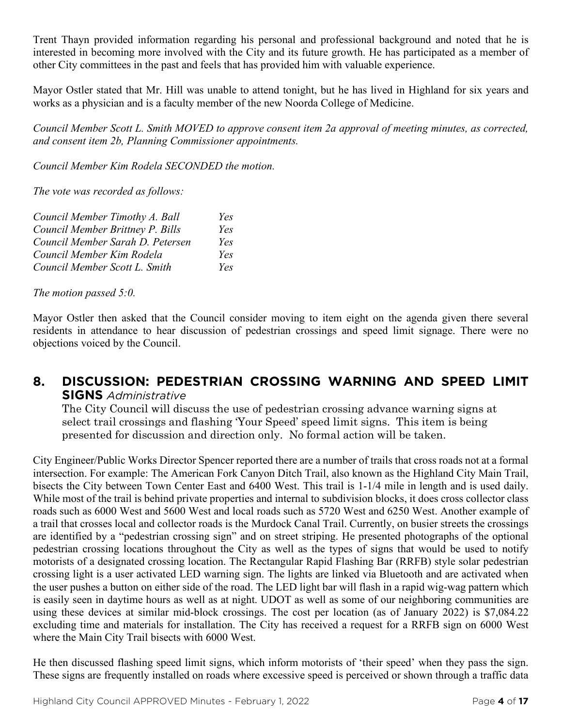Trent Thayn provided information regarding his personal and professional background and noted that he is interested in becoming more involved with the City and its future growth. He has participated as a member of other City committees in the past and feels that has provided him with valuable experience.

Mayor Ostler stated that Mr. Hill was unable to attend tonight, but he has lived in Highland for six years and works as a physician and is a faculty member of the new Noorda College of Medicine.

*Council Member Scott L. Smith MOVED to approve consent item 2a approval of meeting minutes, as corrected, and consent item 2b, Planning Commissioner appointments.*

*Council Member Kim Rodela SECONDED the motion.*

*The vote was recorded as follows:*

| Council Member Timothy A. Ball   | Yes |
|----------------------------------|-----|
| Council Member Brittney P. Bills | Yes |
| Council Member Sarah D. Petersen | Yes |
| Council Member Kim Rodela        | Yes |
| Council Member Scott L. Smith    | Yes |

*The motion passed 5:0.* 

Mayor Ostler then asked that the Council consider moving to item eight on the agenda given there several residents in attendance to hear discussion of pedestrian crossings and speed limit signage. There were no objections voiced by the Council.

## **8. DISCUSSION: PEDESTRIAN CROSSING WARNING AND SPEED LIMIT SIGNS** *Administrative*

The City Council will discuss the use of pedestrian crossing advance warning signs at select trail crossings and flashing 'Your Speed' speed limit signs. This item is being presented for discussion and direction only. No formal action will be taken.

City Engineer/Public Works Director Spencer reported there are a number of trails that cross roads not at a formal intersection. For example: The American Fork Canyon Ditch Trail, also known as the Highland City Main Trail, bisects the City between Town Center East and 6400 West. This trail is 1-1/4 mile in length and is used daily. While most of the trail is behind private properties and internal to subdivision blocks, it does cross collector class roads such as 6000 West and 5600 West and local roads such as 5720 West and 6250 West. Another example of a trail that crosses local and collector roads is the Murdock Canal Trail. Currently, on busier streets the crossings are identified by a "pedestrian crossing sign" and on street striping. He presented photographs of the optional pedestrian crossing locations throughout the City as well as the types of signs that would be used to notify motorists of a designated crossing location. The Rectangular Rapid Flashing Bar (RRFB) style solar pedestrian crossing light is a user activated LED warning sign. The lights are linked via Bluetooth and are activated when the user pushes a button on either side of the road. The LED light bar will flash in a rapid wig-wag pattern which is easily seen in daytime hours as well as at night. UDOT as well as some of our neighboring communities are using these devices at similar mid-block crossings. The cost per location (as of January 2022) is \$7,084.22 excluding time and materials for installation. The City has received a request for a RRFB sign on 6000 West where the Main City Trail bisects with 6000 West.

He then discussed flashing speed limit signs, which inform motorists of 'their speed' when they pass the sign. These signs are frequently installed on roads where excessive speed is perceived or shown through a traffic data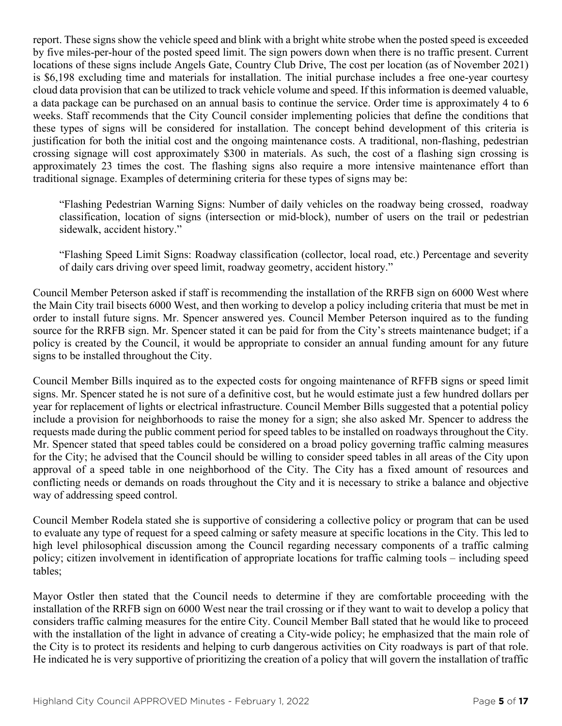report. These signs show the vehicle speed and blink with a bright white strobe when the posted speed is exceeded by five miles-per-hour of the posted speed limit. The sign powers down when there is no traffic present. Current locations of these signs include Angels Gate, Country Club Drive, The cost per location (as of November 2021) is \$6,198 excluding time and materials for installation. The initial purchase includes a free one-year courtesy cloud data provision that can be utilized to track vehicle volume and speed. If this information is deemed valuable, a data package can be purchased on an annual basis to continue the service. Order time is approximately 4 to 6 weeks. Staff recommends that the City Council consider implementing policies that define the conditions that these types of signs will be considered for installation. The concept behind development of this criteria is justification for both the initial cost and the ongoing maintenance costs. A traditional, non-flashing, pedestrian crossing signage will cost approximately \$300 in materials. As such, the cost of a flashing sign crossing is approximately 23 times the cost. The flashing signs also require a more intensive maintenance effort than traditional signage. Examples of determining criteria for these types of signs may be:

"Flashing Pedestrian Warning Signs: Number of daily vehicles on the roadway being crossed, roadway classification, location of signs (intersection or mid-block), number of users on the trail or pedestrian sidewalk, accident history."

"Flashing Speed Limit Signs: Roadway classification (collector, local road, etc.) Percentage and severity of daily cars driving over speed limit, roadway geometry, accident history."

Council Member Peterson asked if staff is recommending the installation of the RRFB sign on 6000 West where the Main City trail bisects 6000 West, and then working to develop a policy including criteria that must be met in order to install future signs. Mr. Spencer answered yes. Council Member Peterson inquired as to the funding source for the RRFB sign. Mr. Spencer stated it can be paid for from the City's streets maintenance budget; if a policy is created by the Council, it would be appropriate to consider an annual funding amount for any future signs to be installed throughout the City.

Council Member Bills inquired as to the expected costs for ongoing maintenance of RFFB signs or speed limit signs. Mr. Spencer stated he is not sure of a definitive cost, but he would estimate just a few hundred dollars per year for replacement of lights or electrical infrastructure. Council Member Bills suggested that a potential policy include a provision for neighborhoods to raise the money for a sign; she also asked Mr. Spencer to address the requests made during the public comment period for speed tables to be installed on roadways throughout the City. Mr. Spencer stated that speed tables could be considered on a broad policy governing traffic calming measures for the City; he advised that the Council should be willing to consider speed tables in all areas of the City upon approval of a speed table in one neighborhood of the City. The City has a fixed amount of resources and conflicting needs or demands on roads throughout the City and it is necessary to strike a balance and objective way of addressing speed control.

Council Member Rodela stated she is supportive of considering a collective policy or program that can be used to evaluate any type of request for a speed calming or safety measure at specific locations in the City. This led to high level philosophical discussion among the Council regarding necessary components of a traffic calming policy; citizen involvement in identification of appropriate locations for traffic calming tools – including speed tables;

Mayor Ostler then stated that the Council needs to determine if they are comfortable proceeding with the installation of the RRFB sign on 6000 West near the trail crossing or if they want to wait to develop a policy that considers traffic calming measures for the entire City. Council Member Ball stated that he would like to proceed with the installation of the light in advance of creating a City-wide policy; he emphasized that the main role of the City is to protect its residents and helping to curb dangerous activities on City roadways is part of that role. He indicated he is very supportive of prioritizing the creation of a policy that will govern the installation of traffic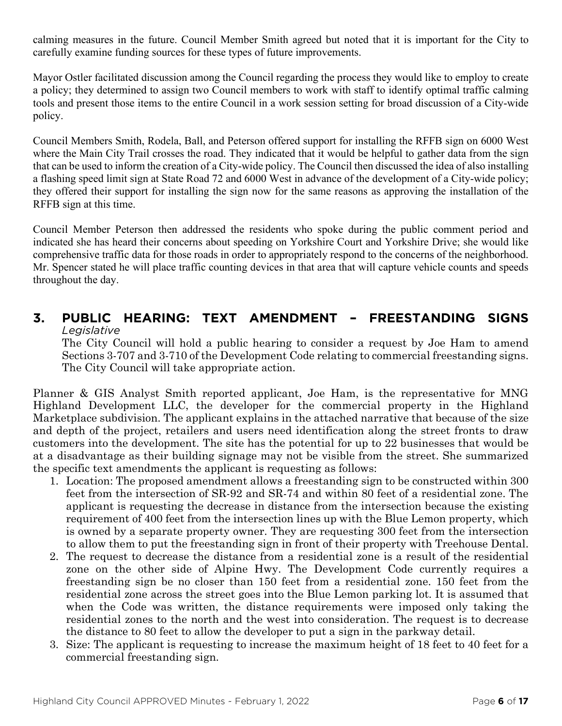calming measures in the future. Council Member Smith agreed but noted that it is important for the City to carefully examine funding sources for these types of future improvements.

Mayor Ostler facilitated discussion among the Council regarding the process they would like to employ to create a policy; they determined to assign two Council members to work with staff to identify optimal traffic calming tools and present those items to the entire Council in a work session setting for broad discussion of a City-wide policy.

Council Members Smith, Rodela, Ball, and Peterson offered support for installing the RFFB sign on 6000 West where the Main City Trail crosses the road. They indicated that it would be helpful to gather data from the sign that can be used to inform the creation of a City-wide policy. The Council then discussed the idea of also installing a flashing speed limit sign at State Road 72 and 6000 West in advance of the development of a City-wide policy; they offered their support for installing the sign now for the same reasons as approving the installation of the RFFB sign at this time.

Council Member Peterson then addressed the residents who spoke during the public comment period and indicated she has heard their concerns about speeding on Yorkshire Court and Yorkshire Drive; she would like comprehensive traffic data for those roads in order to appropriately respond to the concerns of the neighborhood. Mr. Spencer stated he will place traffic counting devices in that area that will capture vehicle counts and speeds throughout the day.

#### **3. PUBLIC HEARING: TEXT AMENDMENT – FREESTANDING SIGNS**  *Legislative*

The City Council will hold a public hearing to consider a request by Joe Ham to amend Sections 3-707 and 3-710 of the Development Code relating to commercial freestanding signs. The City Council will take appropriate action.

Planner & GIS Analyst Smith reported applicant, Joe Ham, is the representative for MNG Highland Development LLC, the developer for the commercial property in the Highland Marketplace subdivision. The applicant explains in the attached narrative that because of the size and depth of the project, retailers and users need identification along the street fronts to draw customers into the development. The site has the potential for up to 22 businesses that would be at a disadvantage as their building signage may not be visible from the street. She summarized the specific text amendments the applicant is requesting as follows:

- 1. Location: The proposed amendment allows a freestanding sign to be constructed within 300 feet from the intersection of SR-92 and SR-74 and within 80 feet of a residential zone. The applicant is requesting the decrease in distance from the intersection because the existing requirement of 400 feet from the intersection lines up with the Blue Lemon property, which is owned by a separate property owner. They are requesting 300 feet from the intersection to allow them to put the freestanding sign in front of their property with Treehouse Dental.
- 2. The request to decrease the distance from a residential zone is a result of the residential zone on the other side of Alpine Hwy. The Development Code currently requires a freestanding sign be no closer than 150 feet from a residential zone. 150 feet from the residential zone across the street goes into the Blue Lemon parking lot. It is assumed that when the Code was written, the distance requirements were imposed only taking the residential zones to the north and the west into consideration. The request is to decrease the distance to 80 feet to allow the developer to put a sign in the parkway detail.
- 3. Size: The applicant is requesting to increase the maximum height of 18 feet to 40 feet for a commercial freestanding sign.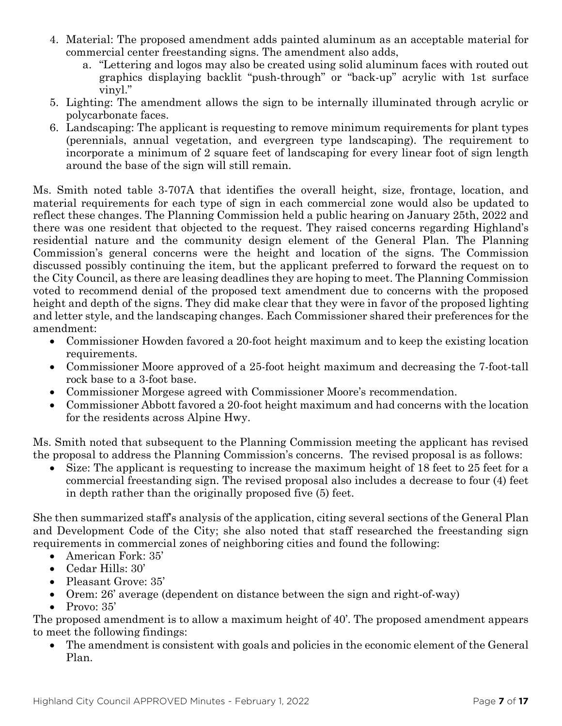- 4. Material: The proposed amendment adds painted aluminum as an acceptable material for commercial center freestanding signs. The amendment also adds,
	- a. "Lettering and logos may also be created using solid aluminum faces with routed out graphics displaying backlit "push-through" or "back-up" acrylic with 1st surface vinyl."
- 5. Lighting: The amendment allows the sign to be internally illuminated through acrylic or polycarbonate faces.
- 6. Landscaping: The applicant is requesting to remove minimum requirements for plant types (perennials, annual vegetation, and evergreen type landscaping). The requirement to incorporate a minimum of 2 square feet of landscaping for every linear foot of sign length around the base of the sign will still remain.

Ms. Smith noted table 3-707A that identifies the overall height, size, frontage, location, and material requirements for each type of sign in each commercial zone would also be updated to reflect these changes. The Planning Commission held a public hearing on January 25th, 2022 and there was one resident that objected to the request. They raised concerns regarding Highland's residential nature and the community design element of the General Plan. The Planning Commission's general concerns were the height and location of the signs. The Commission discussed possibly continuing the item, but the applicant preferred to forward the request on to the City Council, as there are leasing deadlines they are hoping to meet. The Planning Commission voted to recommend denial of the proposed text amendment due to concerns with the proposed height and depth of the signs. They did make clear that they were in favor of the proposed lighting and letter style, and the landscaping changes. Each Commissioner shared their preferences for the amendment:

- Commissioner Howden favored a 20-foot height maximum and to keep the existing location requirements.
- Commissioner Moore approved of a 25-foot height maximum and decreasing the 7-foot-tall rock base to a 3-foot base.
- Commissioner Morgese agreed with Commissioner Moore's recommendation.
- Commissioner Abbott favored a 20-foot height maximum and had concerns with the location for the residents across Alpine Hwy.

Ms. Smith noted that subsequent to the Planning Commission meeting the applicant has revised the proposal to address the Planning Commission's concerns. The revised proposal is as follows:

• Size: The applicant is requesting to increase the maximum height of 18 feet to 25 feet for a commercial freestanding sign. The revised proposal also includes a decrease to four (4) feet in depth rather than the originally proposed five (5) feet.

She then summarized staff's analysis of the application, citing several sections of the General Plan and Development Code of the City; she also noted that staff researched the freestanding sign requirements in commercial zones of neighboring cities and found the following:

- American Fork: 35'
- Cedar Hills: 30'
- Pleasant Grove: 35'
- Orem: 26' average (dependent on distance between the sign and right-of-way)
- Provo: 35'

The proposed amendment is to allow a maximum height of 40'. The proposed amendment appears to meet the following findings:

• The amendment is consistent with goals and policies in the economic element of the General Plan.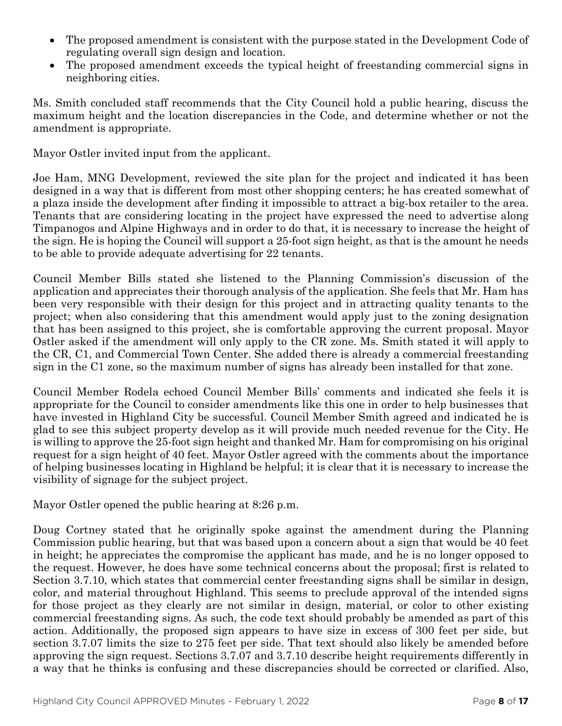- The proposed amendment is consistent with the purpose stated in the Development Code of regulating overall sign design and location.
- The proposed amendment exceeds the typical height of freestanding commercial signs in neighboring cities.

Ms. Smith concluded staff recommends that the City Council hold a public hearing, discuss the maximum height and the location discrepancies in the Code, and determine whether or not the amendment is appropriate.

Mayor Ostler invited input from the applicant.

Joe Ham, MNG Development, reviewed the site plan for the project and indicated it has been designed in a way that is different from most other shopping centers; he has created somewhat of a plaza inside the development after finding it impossible to attract a big-box retailer to the area. Tenants that are considering locating in the project have expressed the need to advertise along Timpanogos and Alpine Highways and in order to do that, it is necessary to increase the height of the sign. He is hoping the Council will support a 25-foot sign height, as that is the amount he needs to be able to provide adequate advertising for 22 tenants.

Council Member Bills stated she listened to the Planning Commission's discussion of the application and appreciates their thorough analysis of the application. She feels that Mr. Ham has been very responsible with their design for this project and in attracting quality tenants to the project; when also considering that this amendment would apply just to the zoning designation that has been assigned to this project, she is comfortable approving the current proposal. Mayor Ostler asked if the amendment will only apply to the CR zone. Ms. Smith stated it will apply to the CR, C1, and Commercial Town Center. She added there is already a commercial freestanding sign in the C1 zone, so the maximum number of signs has already been installed for that zone.

Council Member Rodela echoed Council Member Bills' comments and indicated she feels it is appropriate for the Council to consider amendments like this one in order to help businesses that have invested in Highland City be successful. Council Member Smith agreed and indicated he is glad to see this subject property develop as it will provide much needed revenue for the City. He is willing to approve the 25-foot sign height and thanked Mr. Ham for compromising on his original request for a sign height of 40 feet. Mayor Ostler agreed with the comments about the importance of helping businesses locating in Highland be helpful; it is clear that it is necessary to increase the visibility of signage for the subject project.

Mayor Ostler opened the public hearing at 8:26 p.m.

Doug Cortney stated that he originally spoke against the amendment during the Planning Commission public hearing, but that was based upon a concern about a sign that would be 40 feet in height; he appreciates the compromise the applicant has made, and he is no longer opposed to the request. However, he does have some technical concerns about the proposal; first is related to Section 3.7.10, which states that commercial center freestanding signs shall be similar in design, color, and material throughout Highland. This seems to preclude approval of the intended signs for those project as they clearly are not similar in design, material, or color to other existing commercial freestanding signs. As such, the code text should probably be amended as part of this action. Additionally, the proposed sign appears to have size in excess of 300 feet per side, but section 3.7.07 limits the size to 275 feet per side. That text should also likely be amended before approving the sign request. Sections 3.7.07 and 3.7.10 describe height requirements differently in a way that he thinks is confusing and these discrepancies should be corrected or clarified. Also,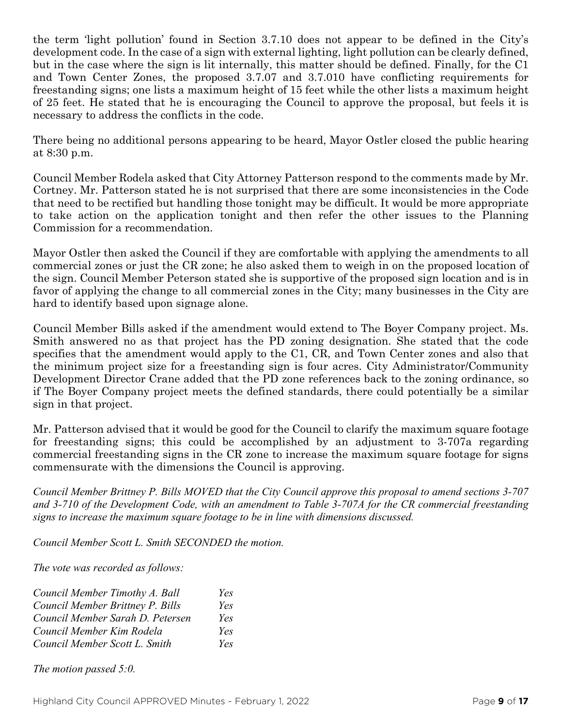the term 'light pollution' found in Section 3.7.10 does not appear to be defined in the City's development code. In the case of a sign with external lighting, light pollution can be clearly defined, but in the case where the sign is lit internally, this matter should be defined. Finally, for the C1 and Town Center Zones, the proposed 3.7.07 and 3.7.010 have conflicting requirements for freestanding signs; one lists a maximum height of 15 feet while the other lists a maximum height of 25 feet. He stated that he is encouraging the Council to approve the proposal, but feels it is necessary to address the conflicts in the code.

There being no additional persons appearing to be heard, Mayor Ostler closed the public hearing at 8:30 p.m.

Council Member Rodela asked that City Attorney Patterson respond to the comments made by Mr. Cortney. Mr. Patterson stated he is not surprised that there are some inconsistencies in the Code that need to be rectified but handling those tonight may be difficult. It would be more appropriate to take action on the application tonight and then refer the other issues to the Planning Commission for a recommendation.

Mayor Ostler then asked the Council if they are comfortable with applying the amendments to all commercial zones or just the CR zone; he also asked them to weigh in on the proposed location of the sign. Council Member Peterson stated she is supportive of the proposed sign location and is in favor of applying the change to all commercial zones in the City; many businesses in the City are hard to identify based upon signage alone.

Council Member Bills asked if the amendment would extend to The Boyer Company project. Ms. Smith answered no as that project has the PD zoning designation. She stated that the code specifies that the amendment would apply to the C1, CR, and Town Center zones and also that the minimum project size for a freestanding sign is four acres. City Administrator/Community Development Director Crane added that the PD zone references back to the zoning ordinance, so if The Boyer Company project meets the defined standards, there could potentially be a similar sign in that project.

Mr. Patterson advised that it would be good for the Council to clarify the maximum square footage for freestanding signs; this could be accomplished by an adjustment to 3-707a regarding commercial freestanding signs in the CR zone to increase the maximum square footage for signs commensurate with the dimensions the Council is approving.

*Council Member Brittney P. Bills MOVED that the City Council approve this proposal to amend sections 3-707 and 3-710 of the Development Code, with an amendment to Table 3-707A for the CR commercial freestanding signs to increase the maximum square footage to be in line with dimensions discussed.*

*Council Member Scott L. Smith SECONDED the motion.*

*The vote was recorded as follows:*

| Council Member Timothy A. Ball   | Yes |
|----------------------------------|-----|
| Council Member Brittney P. Bills | Yes |
| Council Member Sarah D. Petersen | Yes |
| Council Member Kim Rodela        | Yes |
| Council Member Scott L. Smith    | Yes |

*The motion passed 5:0.*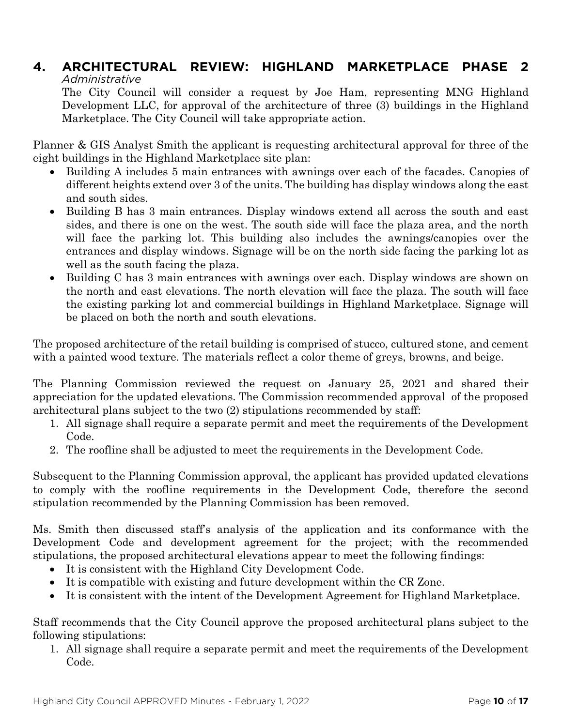#### **4. ARCHITECTURAL REVIEW: HIGHLAND MARKETPLACE PHASE 2** *Administrative*

The City Council will consider a request by Joe Ham, representing MNG Highland Development LLC, for approval of the architecture of three (3) buildings in the Highland Marketplace. The City Council will take appropriate action.

Planner & GIS Analyst Smith the applicant is requesting architectural approval for three of the eight buildings in the Highland Marketplace site plan:

- Building A includes 5 main entrances with awnings over each of the facades. Canopies of different heights extend over 3 of the units. The building has display windows along the east and south sides.
- Building B has 3 main entrances. Display windows extend all across the south and east sides, and there is one on the west. The south side will face the plaza area, and the north will face the parking lot. This building also includes the awnings/canopies over the entrances and display windows. Signage will be on the north side facing the parking lot as well as the south facing the plaza.
- Building C has 3 main entrances with awnings over each. Display windows are shown on the north and east elevations. The north elevation will face the plaza. The south will face the existing parking lot and commercial buildings in Highland Marketplace. Signage will be placed on both the north and south elevations.

The proposed architecture of the retail building is comprised of stucco, cultured stone, and cement with a painted wood texture. The materials reflect a color theme of greys, browns, and beige.

The Planning Commission reviewed the request on January 25, 2021 and shared their appreciation for the updated elevations. The Commission recommended approval of the proposed architectural plans subject to the two (2) stipulations recommended by staff:

- 1. All signage shall require a separate permit and meet the requirements of the Development Code.
- 2. The roofline shall be adjusted to meet the requirements in the Development Code.

Subsequent to the Planning Commission approval, the applicant has provided updated elevations to comply with the roofline requirements in the Development Code, therefore the second stipulation recommended by the Planning Commission has been removed.

Ms. Smith then discussed staff's analysis of the application and its conformance with the Development Code and development agreement for the project; with the recommended stipulations, the proposed architectural elevations appear to meet the following findings:

- It is consistent with the Highland City Development Code.
- It is compatible with existing and future development within the CR Zone.
- It is consistent with the intent of the Development Agreement for Highland Marketplace.

Staff recommends that the City Council approve the proposed architectural plans subject to the following stipulations:

1. All signage shall require a separate permit and meet the requirements of the Development Code.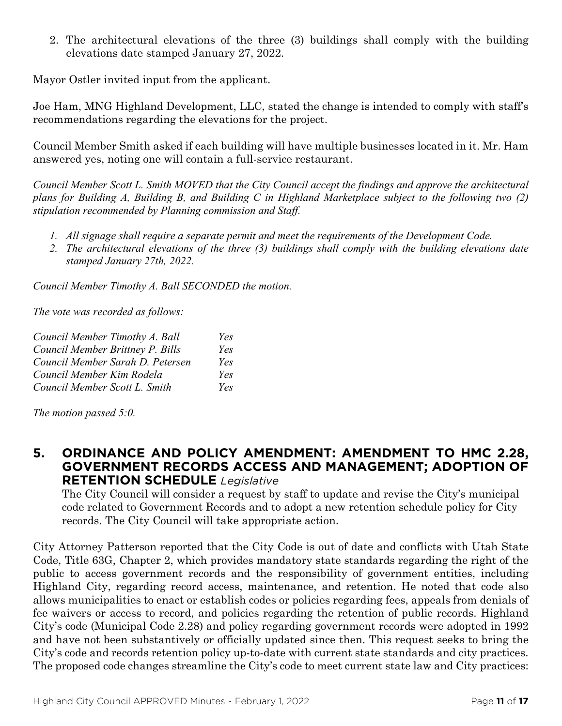2. The architectural elevations of the three (3) buildings shall comply with the building elevations date stamped January 27, 2022.

Mayor Ostler invited input from the applicant.

Joe Ham, MNG Highland Development, LLC, stated the change is intended to comply with staff's recommendations regarding the elevations for the project.

Council Member Smith asked if each building will have multiple businesses located in it. Mr. Ham answered yes, noting one will contain a full-service restaurant.

*Council Member Scott L. Smith MOVED that the City Council accept the findings and approve the architectural plans for Building A, Building B, and Building C in Highland Marketplace subject to the following two (2) stipulation recommended by Planning commission and Staff.*

- *1. All signage shall require a separate permit and meet the requirements of the Development Code.*
- *2. The architectural elevations of the three (3) buildings shall comply with the building elevations date stamped January 27th, 2022.*

*Council Member Timothy A. Ball SECONDED the motion.*

*The vote was recorded as follows:*

| Council Member Timothy A. Ball   | Yes |
|----------------------------------|-----|
| Council Member Brittney P. Bills | Yes |
| Council Member Sarah D. Petersen | Yes |
| Council Member Kim Rodela        | Yes |
| Council Member Scott L. Smith    | Yes |

*The motion passed 5:0.* 

#### **5. ORDINANCE AND POLICY AMENDMENT: AMENDMENT TO HMC 2.28, GOVERNMENT RECORDS ACCESS AND MANAGEMENT; ADOPTION OF RETENTION SCHEDULE** *Legislative*

The City Council will consider a request by staff to update and revise the City's municipal code related to Government Records and to adopt a new retention schedule policy for City records. The City Council will take appropriate action.

City Attorney Patterson reported that the City Code is out of date and conflicts with Utah State Code, Title 63G, Chapter 2, which provides mandatory state standards regarding the right of the public to access government records and the responsibility of government entities, including Highland City, regarding record access, maintenance, and retention. He noted that code also allows municipalities to enact or establish codes or policies regarding fees, appeals from denials of fee waivers or access to record, and policies regarding the retention of public records. Highland City's code (Municipal Code 2.28) and policy regarding government records were adopted in 1992 and have not been substantively or officially updated since then. This request seeks to bring the City's code and records retention policy up-to-date with current state standards and city practices. The proposed code changes streamline the City's code to meet current state law and City practices: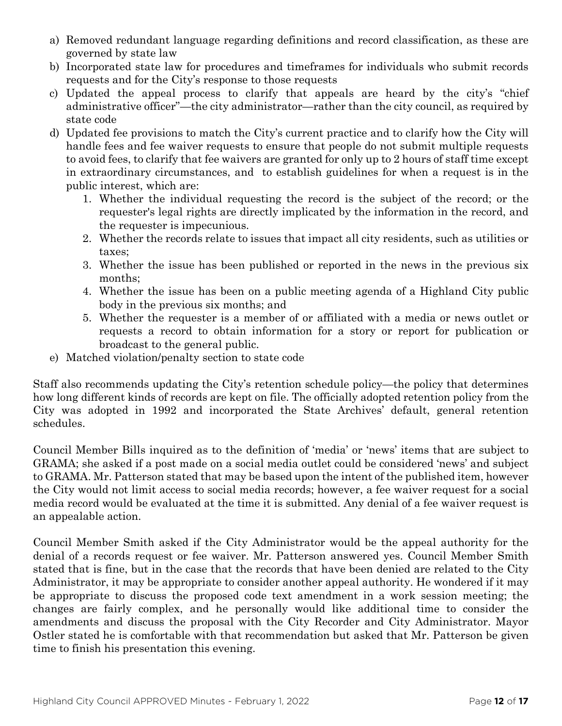- a) Removed redundant language regarding definitions and record classification, as these are governed by state law
- b) Incorporated state law for procedures and timeframes for individuals who submit records requests and for the City's response to those requests
- c) Updated the appeal process to clarify that appeals are heard by the city's "chief administrative officer"—the city administrator—rather than the city council, as required by state code
- d) Updated fee provisions to match the City's current practice and to clarify how the City will handle fees and fee waiver requests to ensure that people do not submit multiple requests to avoid fees, to clarify that fee waivers are granted for only up to 2 hours of staff time except in extraordinary circumstances, and to establish guidelines for when a request is in the public interest, which are:
	- 1. Whether the individual requesting the record is the subject of the record; or the requester's legal rights are directly implicated by the information in the record, and the requester is impecunious.
	- 2. Whether the records relate to issues that impact all city residents, such as utilities or taxes;
	- 3. Whether the issue has been published or reported in the news in the previous six months;
	- 4. Whether the issue has been on a public meeting agenda of a Highland City public body in the previous six months; and
	- 5. Whether the requester is a member of or affiliated with a media or news outlet or requests a record to obtain information for a story or report for publication or broadcast to the general public.
- e) Matched violation/penalty section to state code

Staff also recommends updating the City's retention schedule policy—the policy that determines how long different kinds of records are kept on file. The officially adopted retention policy from the City was adopted in 1992 and incorporated the State Archives' default, general retention schedules.

Council Member Bills inquired as to the definition of 'media' or 'news' items that are subject to GRAMA; she asked if a post made on a social media outlet could be considered 'news' and subject to GRAMA. Mr. Patterson stated that may be based upon the intent of the published item, however the City would not limit access to social media records; however, a fee waiver request for a social media record would be evaluated at the time it is submitted. Any denial of a fee waiver request is an appealable action.

Council Member Smith asked if the City Administrator would be the appeal authority for the denial of a records request or fee waiver. Mr. Patterson answered yes. Council Member Smith stated that is fine, but in the case that the records that have been denied are related to the City Administrator, it may be appropriate to consider another appeal authority. He wondered if it may be appropriate to discuss the proposed code text amendment in a work session meeting; the changes are fairly complex, and he personally would like additional time to consider the amendments and discuss the proposal with the City Recorder and City Administrator. Mayor Ostler stated he is comfortable with that recommendation but asked that Mr. Patterson be given time to finish his presentation this evening.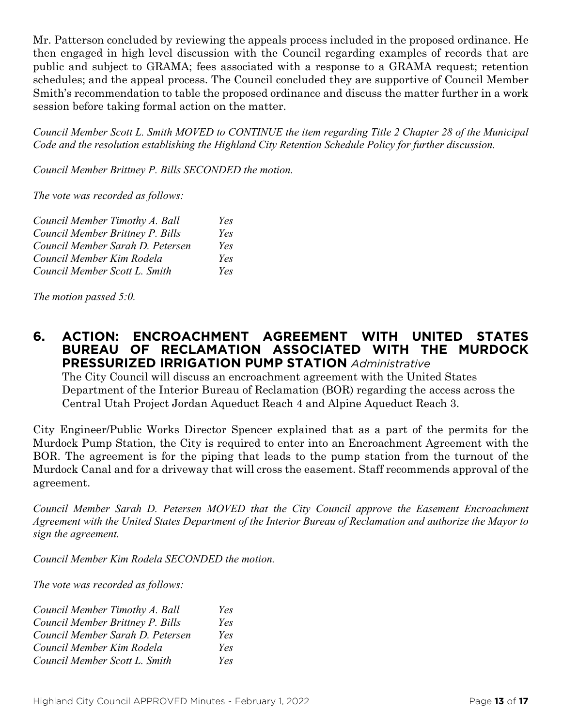Mr. Patterson concluded by reviewing the appeals process included in the proposed ordinance. He then engaged in high level discussion with the Council regarding examples of records that are public and subject to GRAMA; fees associated with a response to a GRAMA request; retention schedules; and the appeal process. The Council concluded they are supportive of Council Member Smith's recommendation to table the proposed ordinance and discuss the matter further in a work session before taking formal action on the matter.

*Council Member Scott L. Smith MOVED to CONTINUE the item regarding Title 2 Chapter 28 of the Municipal Code and the resolution establishing the Highland City Retention Schedule Policy for further discussion.* 

*Council Member Brittney P. Bills SECONDED the motion.*

*The vote was recorded as follows:*

| Council Member Timothy A. Ball   | Yes |
|----------------------------------|-----|
| Council Member Brittney P. Bills | Yes |
| Council Member Sarah D. Petersen | Yes |
| Council Member Kim Rodela        | Yes |
| Council Member Scott L. Smith    | Yes |

*The motion passed 5:0.* 

#### **6. ACTION: ENCROACHMENT AGREEMENT WITH UNITED STATES BUREAU OF RECLAMATION ASSOCIATED WITH THE MURDOCK PRESSURIZED IRRIGATION PUMP STATION** *Administrative*

The City Council will discuss an encroachment agreement with the United States Department of the Interior Bureau of Reclamation (BOR) regarding the access across the Central Utah Project Jordan Aqueduct Reach 4 and Alpine Aqueduct Reach 3.

City Engineer/Public Works Director Spencer explained that as a part of the permits for the Murdock Pump Station, the City is required to enter into an Encroachment Agreement with the BOR. The agreement is for the piping that leads to the pump station from the turnout of the Murdock Canal and for a driveway that will cross the easement. Staff recommends approval of the agreement.

*Council Member Sarah D. Petersen MOVED that the City Council approve the Easement Encroachment Agreement with the United States Department of the Interior Bureau of Reclamation and authorize the Mayor to sign the agreement.*

*Council Member Kim Rodela SECONDED the motion.*

*The vote was recorded as follows:*

| Council Member Timothy A. Ball   | Yes |
|----------------------------------|-----|
| Council Member Brittney P. Bills | Yes |
| Council Member Sarah D. Petersen | Yes |
| Council Member Kim Rodela        | Yes |
| Council Member Scott L. Smith    | Yes |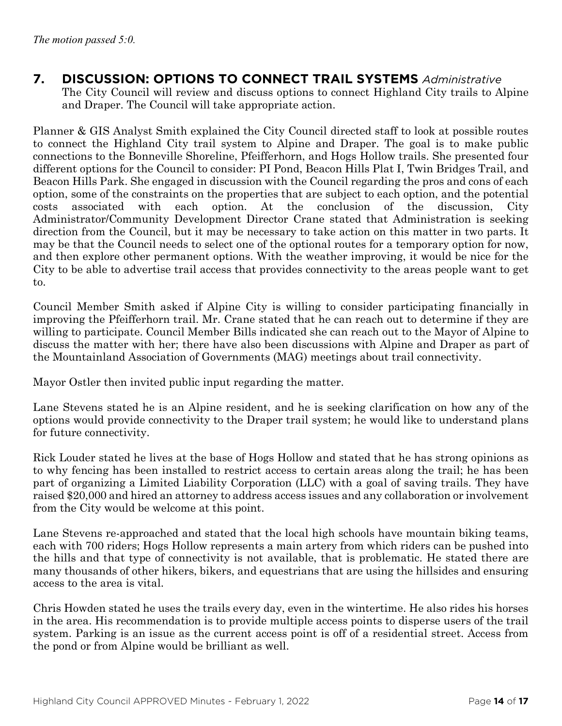**7. DISCUSSION: OPTIONS TO CONNECT TRAIL SYSTEMS** *Administrative* The City Council will review and discuss options to connect Highland City trails to Alpine and Draper. The Council will take appropriate action.

Planner & GIS Analyst Smith explained the City Council directed staff to look at possible routes to connect the Highland City trail system to Alpine and Draper. The goal is to make public connections to the Bonneville Shoreline, Pfeifferhorn, and Hogs Hollow trails. She presented four different options for the Council to consider: PI Pond, Beacon Hills Plat I, Twin Bridges Trail, and Beacon Hills Park. She engaged in discussion with the Council regarding the pros and cons of each option, some of the constraints on the properties that are subject to each option, and the potential costs associated with each option. At the conclusion of the discussion, City Administrator/Community Development Director Crane stated that Administration is seeking direction from the Council, but it may be necessary to take action on this matter in two parts. It may be that the Council needs to select one of the optional routes for a temporary option for now, and then explore other permanent options. With the weather improving, it would be nice for the City to be able to advertise trail access that provides connectivity to the areas people want to get to.

Council Member Smith asked if Alpine City is willing to consider participating financially in improving the Pfeifferhorn trail. Mr. Crane stated that he can reach out to determine if they are willing to participate. Council Member Bills indicated she can reach out to the Mayor of Alpine to discuss the matter with her; there have also been discussions with Alpine and Draper as part of the Mountainland Association of Governments (MAG) meetings about trail connectivity.

Mayor Ostler then invited public input regarding the matter.

Lane Stevens stated he is an Alpine resident, and he is seeking clarification on how any of the options would provide connectivity to the Draper trail system; he would like to understand plans for future connectivity.

Rick Louder stated he lives at the base of Hogs Hollow and stated that he has strong opinions as to why fencing has been installed to restrict access to certain areas along the trail; he has been part of organizing a Limited Liability Corporation (LLC) with a goal of saving trails. They have raised \$20,000 and hired an attorney to address access issues and any collaboration or involvement from the City would be welcome at this point.

Lane Stevens re-approached and stated that the local high schools have mountain biking teams, each with 700 riders; Hogs Hollow represents a main artery from which riders can be pushed into the hills and that type of connectivity is not available, that is problematic. He stated there are many thousands of other hikers, bikers, and equestrians that are using the hillsides and ensuring access to the area is vital.

Chris Howden stated he uses the trails every day, even in the wintertime. He also rides his horses in the area. His recommendation is to provide multiple access points to disperse users of the trail system. Parking is an issue as the current access point is off of a residential street. Access from the pond or from Alpine would be brilliant as well.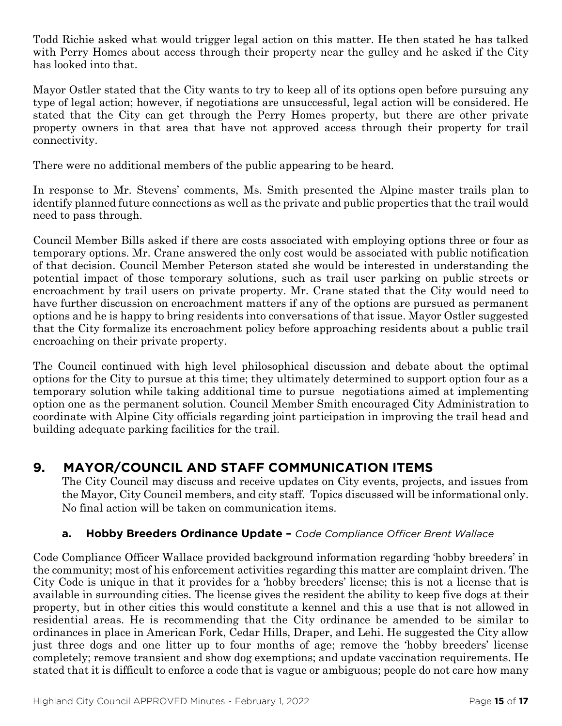Todd Richie asked what would trigger legal action on this matter. He then stated he has talked with Perry Homes about access through their property near the gulley and he asked if the City has looked into that.

Mayor Ostler stated that the City wants to try to keep all of its options open before pursuing any type of legal action; however, if negotiations are unsuccessful, legal action will be considered. He stated that the City can get through the Perry Homes property, but there are other private property owners in that area that have not approved access through their property for trail connectivity.

There were no additional members of the public appearing to be heard.

In response to Mr. Stevens' comments, Ms. Smith presented the Alpine master trails plan to identify planned future connections as well as the private and public properties that the trail would need to pass through.

Council Member Bills asked if there are costs associated with employing options three or four as temporary options. Mr. Crane answered the only cost would be associated with public notification of that decision. Council Member Peterson stated she would be interested in understanding the potential impact of those temporary solutions, such as trail user parking on public streets or encroachment by trail users on private property. Mr. Crane stated that the City would need to have further discussion on encroachment matters if any of the options are pursued as permanent options and he is happy to bring residents into conversations of that issue. Mayor Ostler suggested that the City formalize its encroachment policy before approaching residents about a public trail encroaching on their private property.

The Council continued with high level philosophical discussion and debate about the optimal options for the City to pursue at this time; they ultimately determined to support option four as a temporary solution while taking additional time to pursue negotiations aimed at implementing option one as the permanent solution. Council Member Smith encouraged City Administration to coordinate with Alpine City officials regarding joint participation in improving the trail head and building adequate parking facilities for the trail.

## **9. MAYOR/COUNCIL AND STAFF COMMUNICATION ITEMS**

The City Council may discuss and receive updates on City events, projects, and issues from the Mayor, City Council members, and city staff. Topics discussed will be informational only. No final action will be taken on communication items.

#### **a. Hobby Breeders Ordinance Update –** *Code Compliance Officer Brent Wallace*

Code Compliance Officer Wallace provided background information regarding 'hobby breeders' in the community; most of his enforcement activities regarding this matter are complaint driven. The City Code is unique in that it provides for a 'hobby breeders' license; this is not a license that is available in surrounding cities. The license gives the resident the ability to keep five dogs at their property, but in other cities this would constitute a kennel and this a use that is not allowed in residential areas. He is recommending that the City ordinance be amended to be similar to ordinances in place in American Fork, Cedar Hills, Draper, and Lehi. He suggested the City allow just three dogs and one litter up to four months of age; remove the 'hobby breeders' license completely; remove transient and show dog exemptions; and update vaccination requirements. He stated that it is difficult to enforce a code that is vague or ambiguous; people do not care how many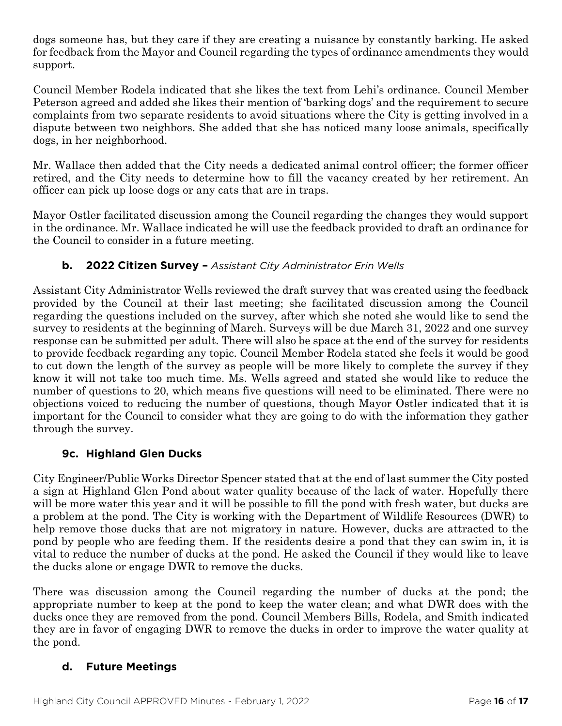dogs someone has, but they care if they are creating a nuisance by constantly barking. He asked for feedback from the Mayor and Council regarding the types of ordinance amendments they would support.

Council Member Rodela indicated that she likes the text from Lehi's ordinance. Council Member Peterson agreed and added she likes their mention of 'barking dogs' and the requirement to secure complaints from two separate residents to avoid situations where the City is getting involved in a dispute between two neighbors. She added that she has noticed many loose animals, specifically dogs, in her neighborhood.

Mr. Wallace then added that the City needs a dedicated animal control officer; the former officer retired, and the City needs to determine how to fill the vacancy created by her retirement. An officer can pick up loose dogs or any cats that are in traps.

Mayor Ostler facilitated discussion among the Council regarding the changes they would support in the ordinance. Mr. Wallace indicated he will use the feedback provided to draft an ordinance for the Council to consider in a future meeting.

### **b. 2022 Citizen Survey –** *Assistant City Administrator Erin Wells*

Assistant City Administrator Wells reviewed the draft survey that was created using the feedback provided by the Council at their last meeting; she facilitated discussion among the Council regarding the questions included on the survey, after which she noted she would like to send the survey to residents at the beginning of March. Surveys will be due March 31, 2022 and one survey response can be submitted per adult. There will also be space at the end of the survey for residents to provide feedback regarding any topic. Council Member Rodela stated she feels it would be good to cut down the length of the survey as people will be more likely to complete the survey if they know it will not take too much time. Ms. Wells agreed and stated she would like to reduce the number of questions to 20, which means five questions will need to be eliminated. There were no objections voiced to reducing the number of questions, though Mayor Ostler indicated that it is important for the Council to consider what they are going to do with the information they gather through the survey.

#### **9c. Highland Glen Ducks**

City Engineer/Public Works Director Spencer stated that at the end of last summer the City posted a sign at Highland Glen Pond about water quality because of the lack of water. Hopefully there will be more water this year and it will be possible to fill the pond with fresh water, but ducks are a problem at the pond. The City is working with the Department of Wildlife Resources (DWR) to help remove those ducks that are not migratory in nature. However, ducks are attracted to the pond by people who are feeding them. If the residents desire a pond that they can swim in, it is vital to reduce the number of ducks at the pond. He asked the Council if they would like to leave the ducks alone or engage DWR to remove the ducks.

There was discussion among the Council regarding the number of ducks at the pond; the appropriate number to keep at the pond to keep the water clean; and what DWR does with the ducks once they are removed from the pond. Council Members Bills, Rodela, and Smith indicated they are in favor of engaging DWR to remove the ducks in order to improve the water quality at the pond.

#### **d. Future Meetings**